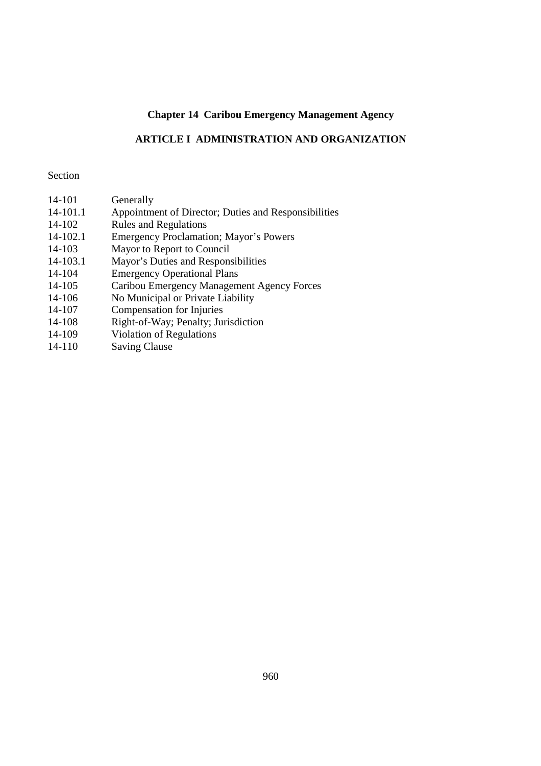# **Chapter 14 Caribou Emergency Management Agency**

# **ARTICLE I ADMINISTRATION AND ORGANIZATION**

## Section

| Generally                                            |
|------------------------------------------------------|
| Appointment of Director; Duties and Responsibilities |
| <b>Rules and Regulations</b>                         |
| <b>Emergency Proclamation; Mayor's Powers</b>        |
| Mayor to Report to Council                           |
| Mayor's Duties and Responsibilities                  |
| <b>Emergency Operational Plans</b>                   |
| Caribou Emergency Management Agency Forces           |
| No Municipal or Private Liability                    |
| <b>Compensation for Injuries</b>                     |
| Right-of-Way; Penalty; Jurisdiction                  |
| Violation of Regulations                             |
| <b>Saving Clause</b>                                 |
|                                                      |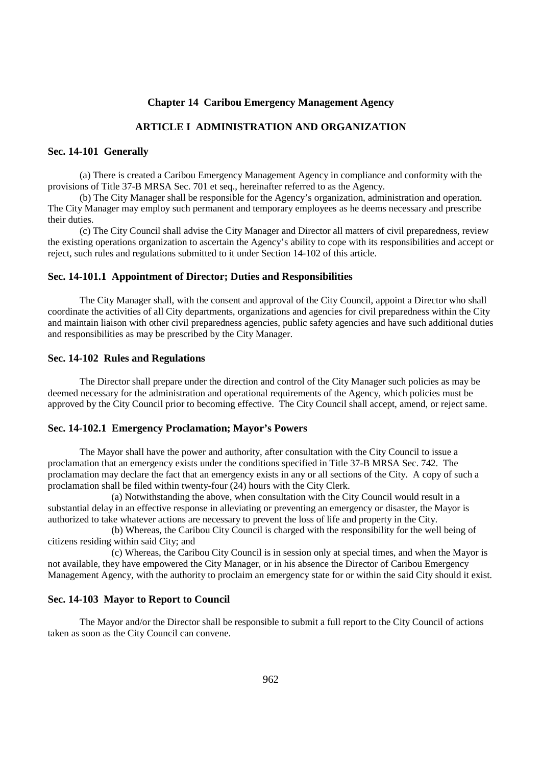## **Chapter 14 Caribou Emergency Management Agency**

## **ARTICLE I ADMINISTRATION AND ORGANIZATION**

### **Sec. 14-101 Generally**

(a) There is created a Caribou Emergency Management Agency in compliance and conformity with the provisions of Title 37-B MRSA Sec. 701 et seq., hereinafter referred to as the Agency.

(b) The City Manager shall be responsible for the Agency's organization, administration and operation. The City Manager may employ such permanent and temporary employees as he deems necessary and prescribe their duties.

(c) The City Council shall advise the City Manager and Director all matters of civil preparedness, review the existing operations organization to ascertain the Agency's ability to cope with its responsibilities and accept or reject, such rules and regulations submitted to it under Section 14-102 of this article.

#### **Sec. 14-101.1 Appointment of Director; Duties and Responsibilities**

The City Manager shall, with the consent and approval of the City Council, appoint a Director who shall coordinate the activities of all City departments, organizations and agencies for civil preparedness within the City and maintain liaison with other civil preparedness agencies, public safety agencies and have such additional duties and responsibilities as may be prescribed by the City Manager.

#### **Sec. 14-102 Rules and Regulations**

The Director shall prepare under the direction and control of the City Manager such policies as may be deemed necessary for the administration and operational requirements of the Agency, which policies must be approved by the City Council prior to becoming effective. The City Council shall accept, amend, or reject same.

#### **Sec. 14-102.1 Emergency Proclamation; Mayor's Powers**

The Mayor shall have the power and authority, after consultation with the City Council to issue a proclamation that an emergency exists under the conditions specified in Title 37-B MRSA Sec. 742. The proclamation may declare the fact that an emergency exists in any or all sections of the City. A copy of such a proclamation shall be filed within twenty-four (24) hours with the City Clerk.

(a) Notwithstanding the above, when consultation with the City Council would result in a substantial delay in an effective response in alleviating or preventing an emergency or disaster, the Mayor is authorized to take whatever actions are necessary to prevent the loss of life and property in the City.

(b) Whereas, the Caribou City Council is charged with the responsibility for the well being of citizens residing within said City; and

(c) Whereas, the Caribou City Council is in session only at special times, and when the Mayor is not available, they have empowered the City Manager, or in his absence the Director of Caribou Emergency Management Agency, with the authority to proclaim an emergency state for or within the said City should it exist.

#### **Sec. 14-103 Mayor to Report to Council**

 The Mayor and/or the Director shall be responsible to submit a full report to the City Council of actions taken as soon as the City Council can convene.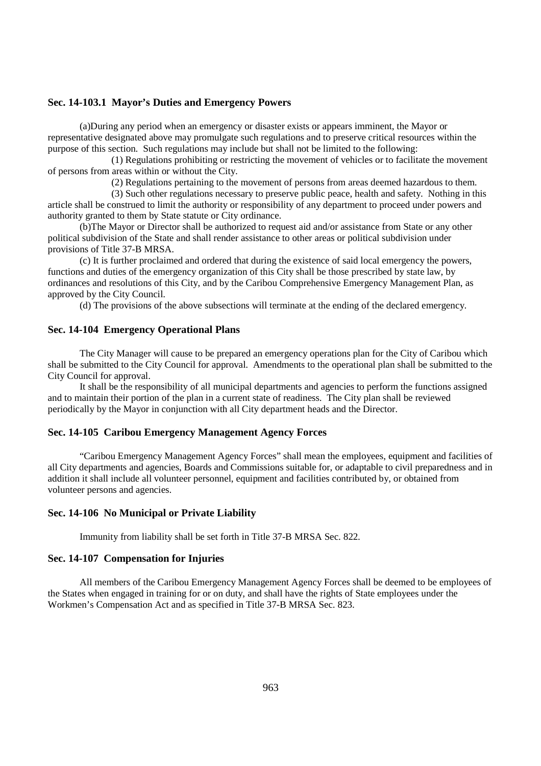## **Sec. 14-103.1 Mayor's Duties and Emergency Powers**

(a)During any period when an emergency or disaster exists or appears imminent, the Mayor or representative designated above may promulgate such regulations and to preserve critical resources within the purpose of this section. Such regulations may include but shall not be limited to the following:

(1) Regulations prohibiting or restricting the movement of vehicles or to facilitate the movement of persons from areas within or without the City.

(2) Regulations pertaining to the movement of persons from areas deemed hazardous to them.

(3) Such other regulations necessary to preserve public peace, health and safety. Nothing in this article shall be construed to limit the authority or responsibility of any department to proceed under powers and authority granted to them by State statute or City ordinance.

(b)The Mayor or Director shall be authorized to request aid and/or assistance from State or any other political subdivision of the State and shall render assistance to other areas or political subdivision under provisions of Title 37-B MRSA.

(c) It is further proclaimed and ordered that during the existence of said local emergency the powers, functions and duties of the emergency organization of this City shall be those prescribed by state law, by ordinances and resolutions of this City, and by the Caribou Comprehensive Emergency Management Plan, as approved by the City Council.

(d) The provisions of the above subsections will terminate at the ending of the declared emergency.

#### **Sec. 14-104 Emergency Operational Plans**

The City Manager will cause to be prepared an emergency operations plan for the City of Caribou which shall be submitted to the City Council for approval. Amendments to the operational plan shall be submitted to the City Council for approval.

It shall be the responsibility of all municipal departments and agencies to perform the functions assigned and to maintain their portion of the plan in a current state of readiness. The City plan shall be reviewed periodically by the Mayor in conjunction with all City department heads and the Director.

## **Sec. 14-105 Caribou Emergency Management Agency Forces**

"Caribou Emergency Management Agency Forces" shall mean the employees, equipment and facilities of all City departments and agencies, Boards and Commissions suitable for, or adaptable to civil preparedness and in addition it shall include all volunteer personnel, equipment and facilities contributed by, or obtained from volunteer persons and agencies.

## **Sec. 14-106 No Municipal or Private Liability**

Immunity from liability shall be set forth in Title 37-B MRSA Sec. 822.

#### **Sec. 14-107 Compensation for Injuries**

All members of the Caribou Emergency Management Agency Forces shall be deemed to be employees of the States when engaged in training for or on duty, and shall have the rights of State employees under the Workmen's Compensation Act and as specified in Title 37-B MRSA Sec. 823.